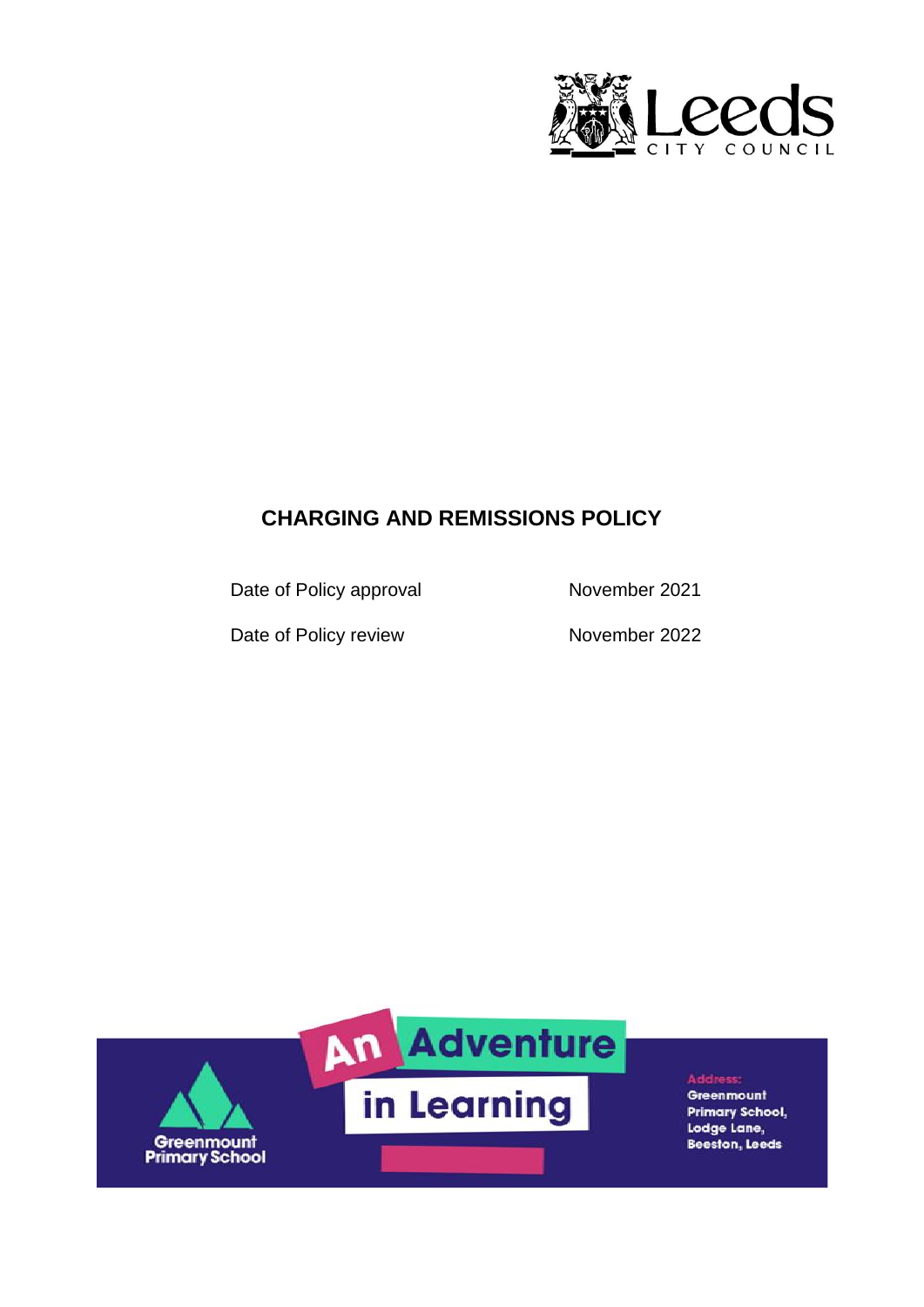

# **CHARGING AND REMISSIONS POLICY**

Date of Policy approval November 2021

Date of Policy review November 2022



**Address:** Greenmount **Primary School,** Lodge Lane, **Beeston, Leeds**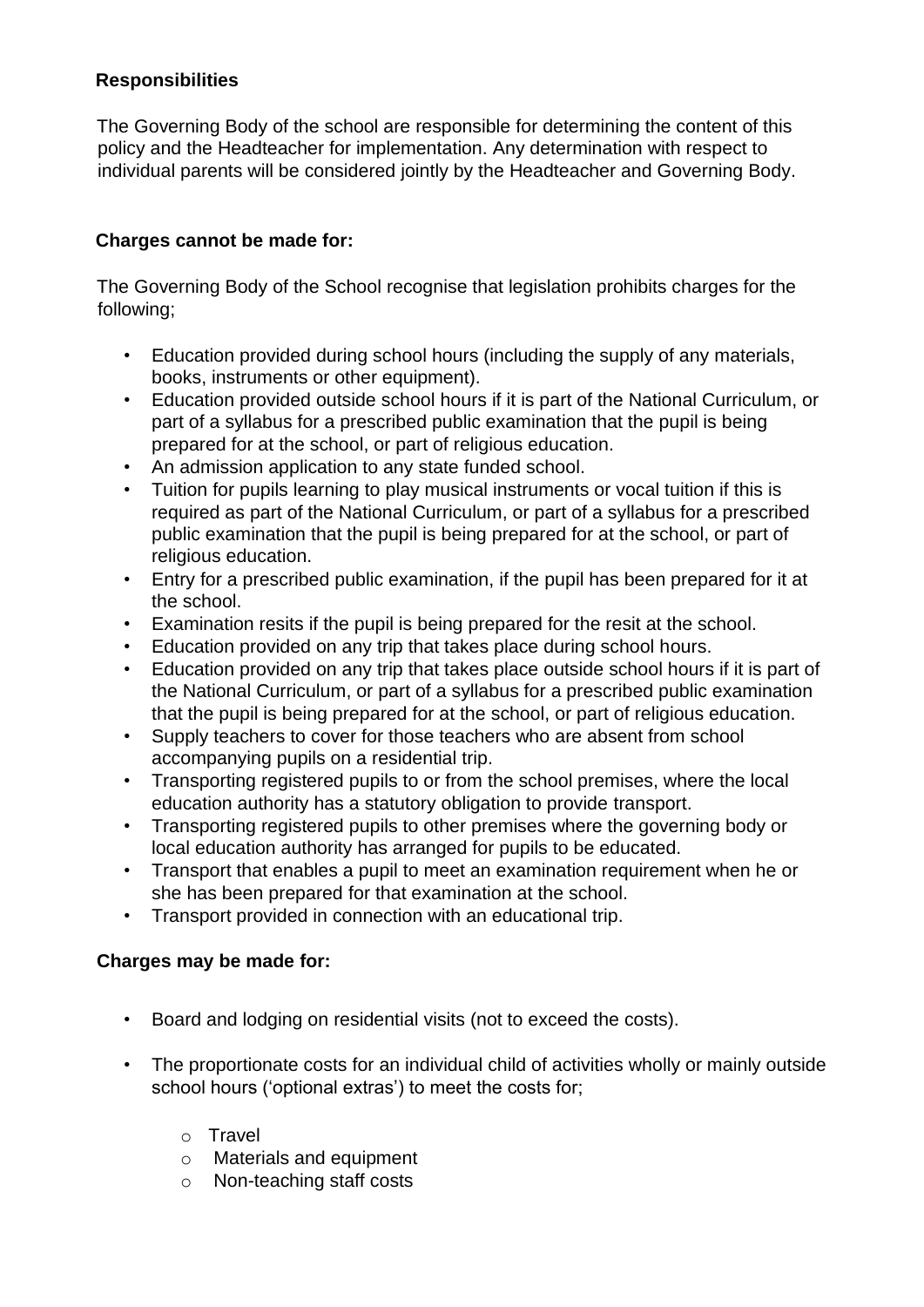## **Responsibilities**

The Governing Body of the school are responsible for determining the content of this policy and the Headteacher for implementation. Any determination with respect to individual parents will be considered jointly by the Headteacher and Governing Body.

### **Charges cannot be made for:**

The Governing Body of the School recognise that legislation prohibits charges for the following;

- Education provided during school hours (including the supply of any materials, books, instruments or other equipment).
- Education provided outside school hours if it is part of the National Curriculum, or part of a syllabus for a prescribed public examination that the pupil is being prepared for at the school, or part of religious education.
- An admission application to any state funded school.
- Tuition for pupils learning to play musical instruments or vocal tuition if this is required as part of the National Curriculum, or part of a syllabus for a prescribed public examination that the pupil is being prepared for at the school, or part of religious education.
- Entry for a prescribed public examination, if the pupil has been prepared for it at the school.
- Examination resits if the pupil is being prepared for the resit at the school.
- Education provided on any trip that takes place during school hours.
- Education provided on any trip that takes place outside school hours if it is part of the National Curriculum, or part of a syllabus for a prescribed public examination that the pupil is being prepared for at the school, or part of religious education.
- Supply teachers to cover for those teachers who are absent from school accompanying pupils on a residential trip.
- Transporting registered pupils to or from the school premises, where the local education authority has a statutory obligation to provide transport.
- Transporting registered pupils to other premises where the governing body or local education authority has arranged for pupils to be educated.
- Transport that enables a pupil to meet an examination requirement when he or she has been prepared for that examination at the school.
- Transport provided in connection with an educational trip.

#### **Charges may be made for:**

- Board and lodging on residential visits (not to exceed the costs).
- The proportionate costs for an individual child of activities wholly or mainly outside school hours ('optional extras') to meet the costs for;
	- o Travel
	- o Materials and equipment
	- o Non-teaching staff costs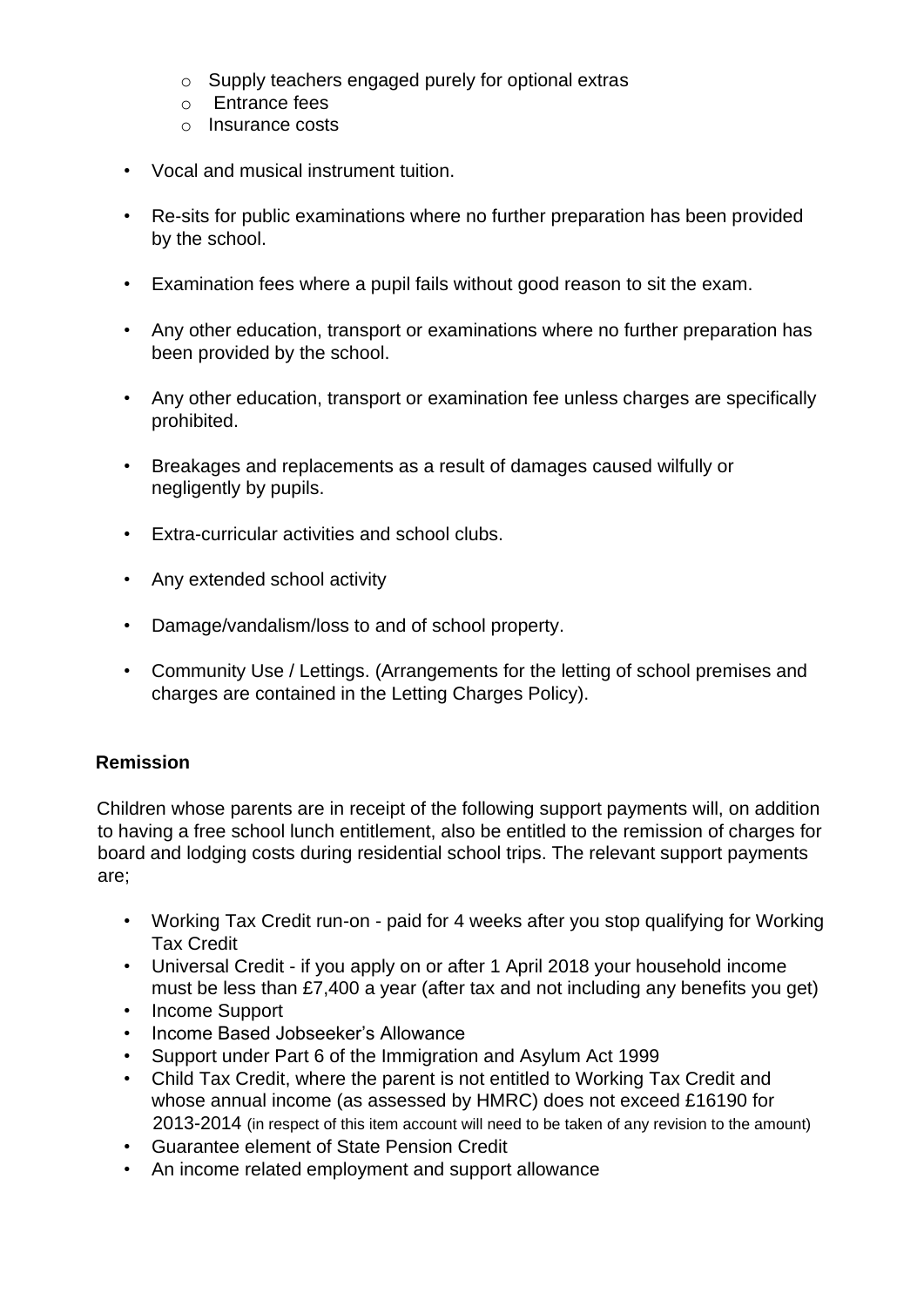- o Supply teachers engaged purely for optional extras
- o Entrance fees
- o Insurance costs
- Vocal and musical instrument tuition.
- Re-sits for public examinations where no further preparation has been provided by the school.
- Examination fees where a pupil fails without good reason to sit the exam.
- Any other education, transport or examinations where no further preparation has been provided by the school.
- Any other education, transport or examination fee unless charges are specifically prohibited.
- Breakages and replacements as a result of damages caused wilfully or negligently by pupils.
- Extra-curricular activities and school clubs.
- Any extended school activity
- Damage/vandalism/loss to and of school property.
- Community Use / Lettings. (Arrangements for the letting of school premises and charges are contained in the Letting Charges Policy).

#### **Remission**

Children whose parents are in receipt of the following support payments will, on addition to having a free school lunch entitlement, also be entitled to the remission of charges for board and lodging costs during residential school trips. The relevant support payments are;

- Working Tax Credit run-on paid for 4 weeks after you stop qualifying for Working Tax Credit
- Universal Credit if you apply on or after 1 April 2018 your household income must be less than £7,400 a year (after tax and not including any benefits you get)
- Income Support
- Income Based Jobseeker's Allowance
- Support under Part 6 of the Immigration and Asylum Act 1999
- Child Tax Credit, where the parent is not entitled to Working Tax Credit and whose annual income (as assessed by HMRC) does not exceed £16190 for 2013-2014 (in respect of this item account will need to be taken of any revision to the amount)
- Guarantee element of State Pension Credit
- An income related employment and support allowance